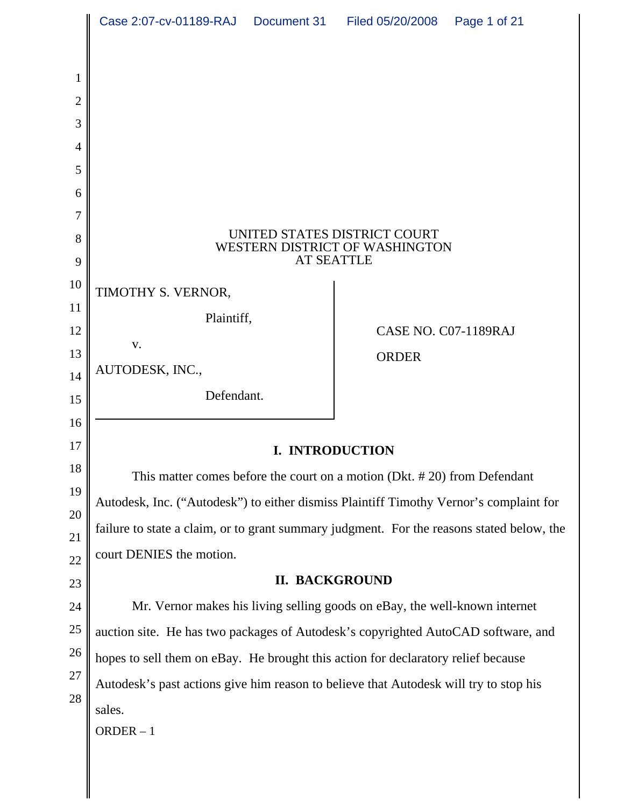|                | Case 2:07-cv-01189-RAJ  Document 31  Filed 05/20/2008                                     |                                                                                       |                      | Page 1 of 21 |  |  |  |
|----------------|-------------------------------------------------------------------------------------------|---------------------------------------------------------------------------------------|----------------------|--------------|--|--|--|
|                |                                                                                           |                                                                                       |                      |              |  |  |  |
| 1              |                                                                                           |                                                                                       |                      |              |  |  |  |
| $\overline{2}$ |                                                                                           |                                                                                       |                      |              |  |  |  |
| 3              |                                                                                           |                                                                                       |                      |              |  |  |  |
| 4              |                                                                                           |                                                                                       |                      |              |  |  |  |
| 5              |                                                                                           |                                                                                       |                      |              |  |  |  |
| 6              |                                                                                           |                                                                                       |                      |              |  |  |  |
| 7              |                                                                                           |                                                                                       |                      |              |  |  |  |
| 8              | UNITED STATES DISTRICT COURT<br>WESTERN DISTRICT OF WASHINGTON                            |                                                                                       |                      |              |  |  |  |
| 9              | <b>AT SEATTLE</b>                                                                         |                                                                                       |                      |              |  |  |  |
| 10             | TIMOTHY S. VERNOR,                                                                        |                                                                                       |                      |              |  |  |  |
| 11<br>12       | Plaintiff,                                                                                |                                                                                       |                      |              |  |  |  |
| 13             | V.                                                                                        |                                                                                       | CASE NO. C07-1189RAJ |              |  |  |  |
| 14             | AUTODESK, INC.,                                                                           |                                                                                       | <b>ORDER</b>         |              |  |  |  |
| 15             | Defendant.                                                                                |                                                                                       |                      |              |  |  |  |
| 16             |                                                                                           |                                                                                       |                      |              |  |  |  |
| 17             | I. INTRODUCTION                                                                           |                                                                                       |                      |              |  |  |  |
| 18             | This matter comes before the court on a motion (Dkt. #20) from Defendant                  |                                                                                       |                      |              |  |  |  |
| 19             | Autodesk, Inc. ("Autodesk") to either dismiss Plaintiff Timothy Vernor's complaint for    |                                                                                       |                      |              |  |  |  |
| 20             | failure to state a claim, or to grant summary judgment. For the reasons stated below, the |                                                                                       |                      |              |  |  |  |
| 21             | court DENIES the motion.                                                                  |                                                                                       |                      |              |  |  |  |
| 22             |                                                                                           |                                                                                       |                      |              |  |  |  |
| 23             | <b>II. BACKGROUND</b>                                                                     |                                                                                       |                      |              |  |  |  |
| 24<br>25       | Mr. Vernor makes his living selling goods on eBay, the well-known internet                |                                                                                       |                      |              |  |  |  |
| 26             | auction site. He has two packages of Autodesk's copyrighted AutoCAD software, and         |                                                                                       |                      |              |  |  |  |
| 27             | hopes to sell them on eBay. He brought this action for declaratory relief because         |                                                                                       |                      |              |  |  |  |
| 28             |                                                                                           | Autodesk's past actions give him reason to believe that Autodesk will try to stop his |                      |              |  |  |  |
|                | sales.                                                                                    |                                                                                       |                      |              |  |  |  |
|                | $ORDER - 1$                                                                               |                                                                                       |                      |              |  |  |  |
|                |                                                                                           |                                                                                       |                      |              |  |  |  |
|                |                                                                                           |                                                                                       |                      |              |  |  |  |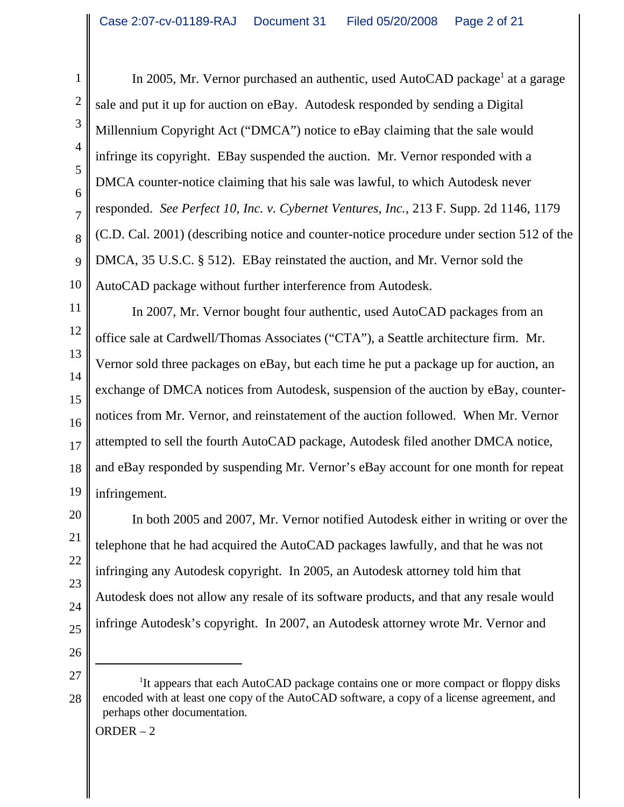In 2005, Mr. Vernor purchased an authentic, used AutoCAD package<sup>1</sup> at a garage sale and put it up for auction on eBay. Autodesk responded by sending a Digital Millennium Copyright Act ("DMCA") notice to eBay claiming that the sale would infringe its copyright. EBay suspended the auction. Mr. Vernor responded with a DMCA counter-notice claiming that his sale was lawful, to which Autodesk never responded. *See Perfect 10, Inc. v. Cybernet Ventures, Inc.*, 213 F. Supp. 2d 1146, 1179 (C.D. Cal. 2001) (describing notice and counter-notice procedure under section 512 of the DMCA, 35 U.S.C. § 512). EBay reinstated the auction, and Mr. Vernor sold the AutoCAD package without further interference from Autodesk.

11 12 13 14 15 16 17 18 19 In 2007, Mr. Vernor bought four authentic, used AutoCAD packages from an office sale at Cardwell/Thomas Associates ("CTA"), a Seattle architecture firm. Mr. Vernor sold three packages on eBay, but each time he put a package up for auction, an exchange of DMCA notices from Autodesk, suspension of the auction by eBay, counternotices from Mr. Vernor, and reinstatement of the auction followed. When Mr. Vernor attempted to sell the fourth AutoCAD package, Autodesk filed another DMCA notice, and eBay responded by suspending Mr. Vernor's eBay account for one month for repeat infringement.

In both 2005 and 2007, Mr. Vernor notified Autodesk either in writing or over the telephone that he had acquired the AutoCAD packages lawfully, and that he was not infringing any Autodesk copyright. In 2005, an Autodesk attorney told him that Autodesk does not allow any resale of its software products, and that any resale would infringe Autodesk's copyright. In 2007, an Autodesk attorney wrote Mr. Vernor and

26

20

21

22

23

24

25

1

2

3

4

5

6

7

8

9

10

<sup>27</sup> 28 <sup>1</sup>It appears that each AutoCAD package contains one or more compact or floppy disks encoded with at least one copy of the AutoCAD software, a copy of a license agreement, and perhaps other documentation.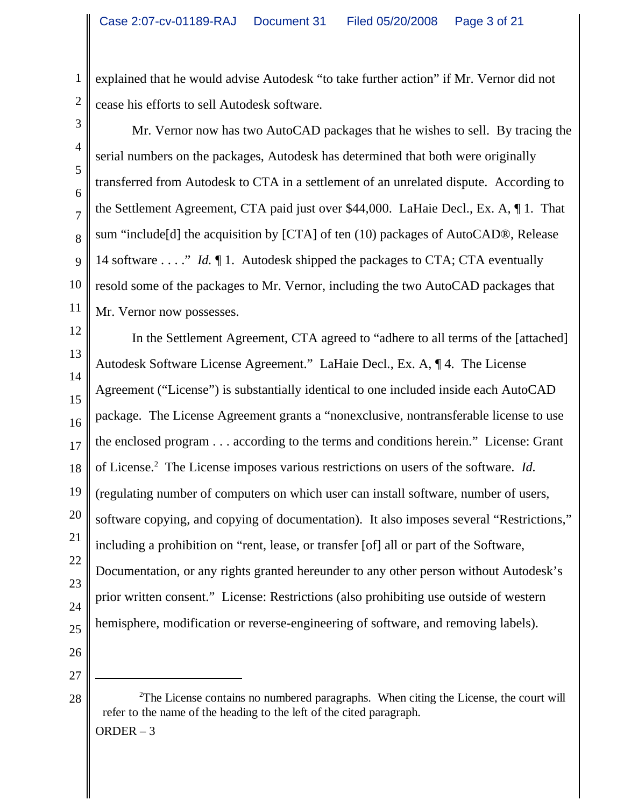explained that he would advise Autodesk "to take further action" if Mr. Vernor did not cease his efforts to sell Autodesk software.

3

1

2

4

5

6

7

8

9

10

11

Mr. Vernor now has two AutoCAD packages that he wishes to sell. By tracing the serial numbers on the packages, Autodesk has determined that both were originally transferred from Autodesk to CTA in a settlement of an unrelated dispute. According to the Settlement Agreement, CTA paid just over \$44,000. LaHaie Decl., Ex. A, ¶ 1. That sum "include[d] the acquisition by [CTA] of ten (10) packages of AutoCAD®, Release 14 software . . . ." *Id.* ¶ 1. Autodesk shipped the packages to CTA; CTA eventually resold some of the packages to Mr. Vernor, including the two AutoCAD packages that Mr. Vernor now possesses.

12 13 14 15 16 17 18 19 20 21 22 23 24 25 In the Settlement Agreement, CTA agreed to "adhere to all terms of the [attached] Autodesk Software License Agreement." LaHaie Decl., Ex. A, ¶ 4. The License Agreement ("License") is substantially identical to one included inside each AutoCAD package. The License Agreement grants a "nonexclusive, nontransferable license to use the enclosed program . . . according to the terms and conditions herein." License: Grant of License.<sup>2</sup> The License imposes various restrictions on users of the software. *Id.* (regulating number of computers on which user can install software, number of users, software copying, and copying of documentation). It also imposes several "Restrictions," including a prohibition on "rent, lease, or transfer [of] all or part of the Software, Documentation, or any rights granted hereunder to any other person without Autodesk's prior written consent." License: Restrictions (also prohibiting use outside of western hemisphere, modification or reverse-engineering of software, and removing labels).

26

<sup>28</sup> <sup>2</sup>  $2$ The License contains no numbered paragraphs. When citing the License, the court will refer to the name of the heading to the left of the cited paragraph. ORDER – 3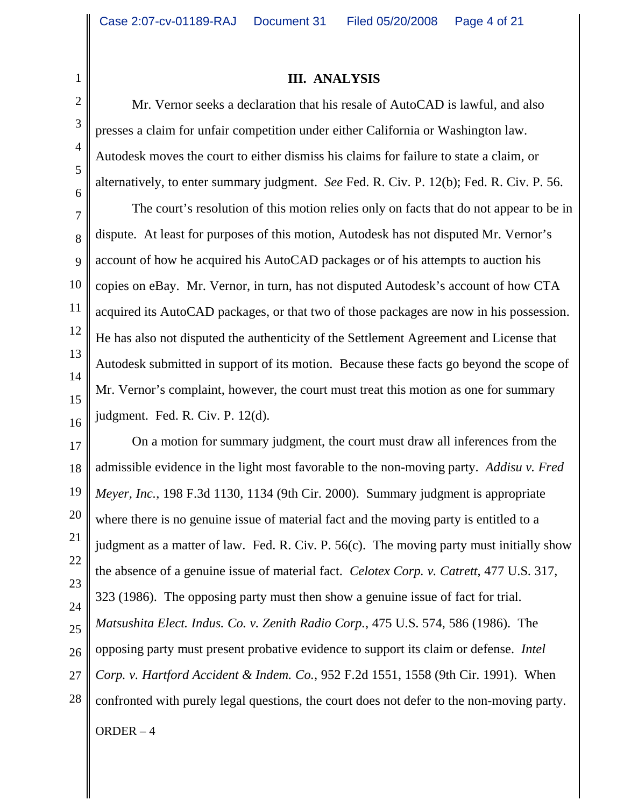#### **III. ANALYSIS**

Mr. Vernor seeks a declaration that his resale of AutoCAD is lawful, and also presses a claim for unfair competition under either California or Washington law. Autodesk moves the court to either dismiss his claims for failure to state a claim, or alternatively, to enter summary judgment. *See* Fed. R. Civ. P. 12(b); Fed. R. Civ. P. 56.

The court's resolution of this motion relies only on facts that do not appear to be in dispute. At least for purposes of this motion, Autodesk has not disputed Mr. Vernor's account of how he acquired his AutoCAD packages or of his attempts to auction his copies on eBay. Mr. Vernor, in turn, has not disputed Autodesk's account of how CTA acquired its AutoCAD packages, or that two of those packages are now in his possession. He has also not disputed the authenticity of the Settlement Agreement and License that Autodesk submitted in support of its motion. Because these facts go beyond the scope of Mr. Vernor's complaint, however, the court must treat this motion as one for summary judgment. Fed. R. Civ. P. 12(d).

17 18 19 20 21 22 23 24 25 26 27 28 ORDER – 4 On a motion for summary judgment, the court must draw all inferences from the admissible evidence in the light most favorable to the non-moving party. *Addisu v. Fred Meyer, Inc.*, 198 F.3d 1130, 1134 (9th Cir. 2000). Summary judgment is appropriate where there is no genuine issue of material fact and the moving party is entitled to a judgment as a matter of law. Fed. R. Civ. P. 56(c). The moving party must initially show the absence of a genuine issue of material fact. *Celotex Corp. v. Catrett*, 477 U.S. 317, 323 (1986). The opposing party must then show a genuine issue of fact for trial. *Matsushita Elect. Indus. Co. v. Zenith Radio Corp.*, 475 U.S. 574, 586 (1986). The opposing party must present probative evidence to support its claim or defense. *Intel Corp. v. Hartford Accident & Indem. Co.*, 952 F.2d 1551, 1558 (9th Cir. 1991). When confronted with purely legal questions, the court does not defer to the non-moving party.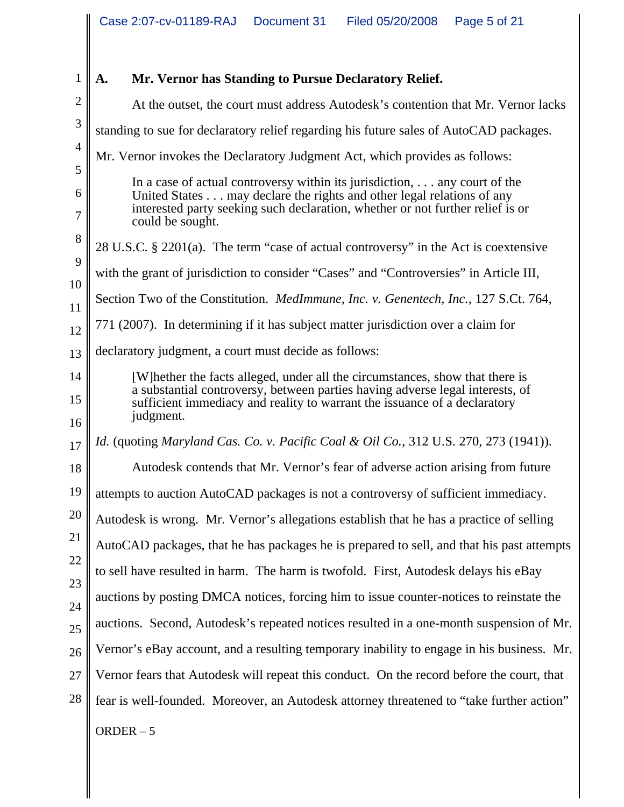$\parallel$ 

| $\mathbf{1}$   | Mr. Vernor has Standing to Pursue Declaratory Relief.<br>A.                                                                                                                                                                                 |  |  |  |
|----------------|---------------------------------------------------------------------------------------------------------------------------------------------------------------------------------------------------------------------------------------------|--|--|--|
| $\overline{2}$ | At the outset, the court must address Autodesk's contention that Mr. Vernor lacks                                                                                                                                                           |  |  |  |
| 3              | standing to sue for declaratory relief regarding his future sales of AutoCAD packages.                                                                                                                                                      |  |  |  |
| $\overline{4}$ | Mr. Vernor invokes the Declaratory Judgment Act, which provides as follows:                                                                                                                                                                 |  |  |  |
| 5              | In a case of actual controversy within its jurisdiction, $\ldots$ any court of the                                                                                                                                                          |  |  |  |
| 6<br>7         | United States may declare the rights and other legal relations of any<br>interested party seeking such declaration, whether or not further relief is or<br>could be sought.                                                                 |  |  |  |
| 8              | 28 U.S.C. $\S$ 2201(a). The term "case of actual controversy" in the Act is coextensive                                                                                                                                                     |  |  |  |
| 9<br>10        | with the grant of jurisdiction to consider "Cases" and "Controversies" in Article III,                                                                                                                                                      |  |  |  |
| 11             | Section Two of the Constitution. <i>MedImmune, Inc. v. Genentech, Inc.</i> , 127 S.Ct. 764,                                                                                                                                                 |  |  |  |
| 12             | 771 (2007). In determining if it has subject matter jurisdiction over a claim for                                                                                                                                                           |  |  |  |
| 13             | declaratory judgment, a court must decide as follows:                                                                                                                                                                                       |  |  |  |
| 14<br>15       | [W] hether the facts alleged, under all the circumstances, show that there is<br>a substantial controversy, between parties having adverse legal interests, of<br>sufficient immediacy and reality to warrant the issuance of a declaratory |  |  |  |
| 16<br>17       | judgment.<br><i>Id.</i> (quoting <i>Maryland Cas. Co. v. Pacific Coal &amp; Oil Co.</i> , 312 U.S. 270, 273 (1941)).                                                                                                                        |  |  |  |
| 18             | Autodesk contends that Mr. Vernor's fear of adverse action arising from future                                                                                                                                                              |  |  |  |
| 19             | attempts to auction AutoCAD packages is not a controversy of sufficient immediacy.                                                                                                                                                          |  |  |  |
| 20             | Autodesk is wrong. Mr. Vernor's allegations establish that he has a practice of selling                                                                                                                                                     |  |  |  |
| 21             | AutoCAD packages, that he has packages he is prepared to sell, and that his past attempts                                                                                                                                                   |  |  |  |
| 22             | to sell have resulted in harm. The harm is twofold. First, Autodesk delays his eBay                                                                                                                                                         |  |  |  |
| 23             | auctions by posting DMCA notices, forcing him to issue counter-notices to reinstate the                                                                                                                                                     |  |  |  |
| 24             | auctions. Second, Autodesk's repeated notices resulted in a one-month suspension of Mr.                                                                                                                                                     |  |  |  |
| 25<br>26       | Vernor's eBay account, and a resulting temporary inability to engage in his business. Mr.                                                                                                                                                   |  |  |  |
| 27             | Vernor fears that Autodesk will repeat this conduct. On the record before the court, that                                                                                                                                                   |  |  |  |
| 28             | fear is well-founded. Moreover, an Autodesk attorney threatened to "take further action"                                                                                                                                                    |  |  |  |
|                | ORDER $-5$                                                                                                                                                                                                                                  |  |  |  |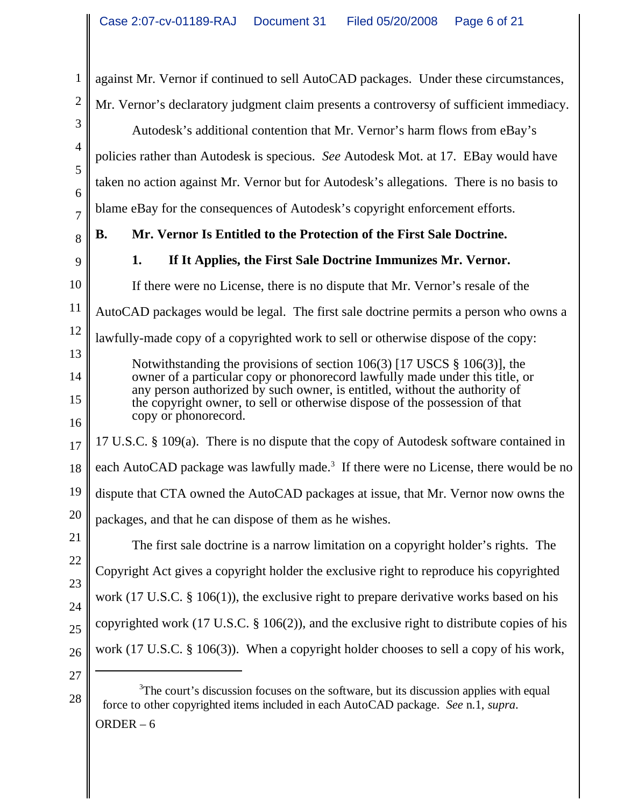against Mr. Vernor if continued to sell AutoCAD packages. Under these circumstances, Mr. Vernor's declaratory judgment claim presents a controversy of sufficient immediacy.

Autodesk's additional contention that Mr. Vernor's harm flows from eBay's policies rather than Autodesk is specious. *See* Autodesk Mot. at 17. EBay would have taken no action against Mr. Vernor but for Autodesk's allegations. There is no basis to blame eBay for the consequences of Autodesk's copyright enforcement efforts.

8 9

1

2

3

4

5

6

7

# **B. Mr. Vernor Is Entitled to the Protection of the First Sale Doctrine.**

**1. If It Applies, the First Sale Doctrine Immunizes Mr. Vernor.**

10 11 12 13 14 15 16 17 If there were no License, there is no dispute that Mr. Vernor's resale of the AutoCAD packages would be legal. The first sale doctrine permits a person who owns a lawfully-made copy of a copyrighted work to sell or otherwise dispose of the copy: Notwithstanding the provisions of section 106(3) [17 USCS § 106(3)], the owner of a particular copy or phonorecord lawfully made under this title, or any person authorized by such owner, is entitled, without the authority of the copyright owner, to sell or otherwise dispose of the possession of that copy or phonorecord. 17 U.S.C. § 109(a). There is no dispute that the copy of Autodesk software contained in

18 19 each AutoCAD package was lawfully made.<sup>3</sup> If there were no License, there would be no dispute that CTA owned the AutoCAD packages at issue, that Mr. Vernor now owns the

20 packages, and that he can dispose of them as he wishes.

21 22 23 24 25 26 The first sale doctrine is a narrow limitation on a copyright holder's rights. The Copyright Act gives a copyright holder the exclusive right to reproduce his copyrighted work (17 U.S.C. § 106(1)), the exclusive right to prepare derivative works based on his copyrighted work (17 U.S.C. § 106(2)), and the exclusive right to distribute copies of his work (17 U.S.C. § 106(3)). When a copyright holder chooses to sell a copy of his work,

<sup>&</sup>lt;sup>3</sup>The court's discussion focuses on the software, but its discussion applies with equal force to other copyrighted items included in each AutoCAD package. *See* n.1, *supra*. ORDER – 6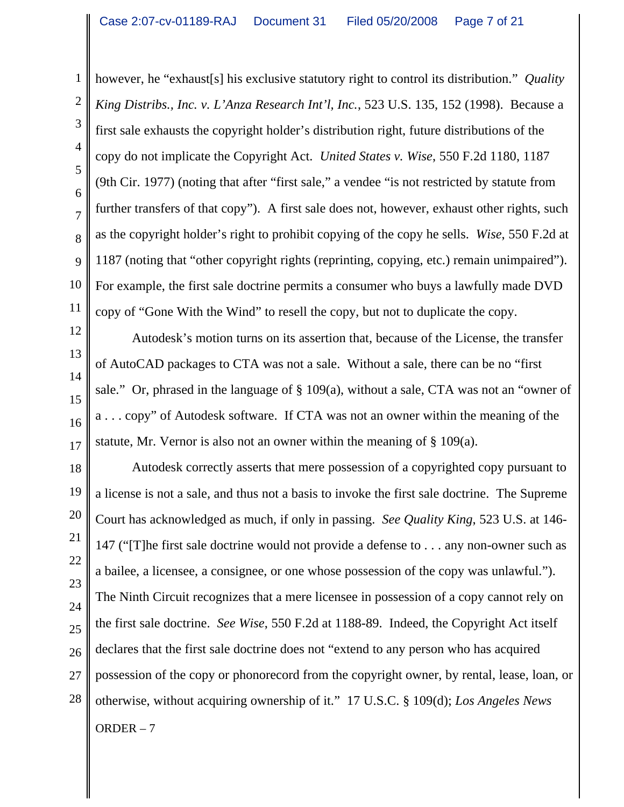1 2 3 4 5 6 however, he "exhaust[s] his exclusive statutory right to control its distribution." *Quality King Distribs., Inc. v. L'Anza Research Int'l, Inc.*, 523 U.S. 135, 152 (1998). Because a first sale exhausts the copyright holder's distribution right, future distributions of the copy do not implicate the Copyright Act. *United States v. Wise*, 550 F.2d 1180, 1187 (9th Cir. 1977) (noting that after "first sale," a vendee "is not restricted by statute from further transfers of that copy"). A first sale does not, however, exhaust other rights, such as the copyright holder's right to prohibit copying of the copy he sells. *Wise*, 550 F.2d at 1187 (noting that "other copyright rights (reprinting, copying, etc.) remain unimpaired"). For example, the first sale doctrine permits a consumer who buys a lawfully made DVD copy of "Gone With the Wind" to resell the copy, but not to duplicate the copy.

Autodesk's motion turns on its assertion that, because of the License, the transfer of AutoCAD packages to CTA was not a sale. Without a sale, there can be no "first sale." Or, phrased in the language of § 109(a), without a sale, CTA was not an "owner of a . . . copy" of Autodesk software. If CTA was not an owner within the meaning of the statute, Mr. Vernor is also not an owner within the meaning of § 109(a).

ORDER – 7 Autodesk correctly asserts that mere possession of a copyrighted copy pursuant to a license is not a sale, and thus not a basis to invoke the first sale doctrine. The Supreme Court has acknowledged as much, if only in passing. *See Quality King*, 523 U.S. at 146- 147 ("[T]he first sale doctrine would not provide a defense to . . . any non-owner such as a bailee, a licensee, a consignee, or one whose possession of the copy was unlawful."). The Ninth Circuit recognizes that a mere licensee in possession of a copy cannot rely on the first sale doctrine. *See Wise*, 550 F.2d at 1188-89. Indeed, the Copyright Act itself declares that the first sale doctrine does not "extend to any person who has acquired possession of the copy or phonorecord from the copyright owner, by rental, lease, loan, or otherwise, without acquiring ownership of it." 17 U.S.C. § 109(d); *Los Angeles News*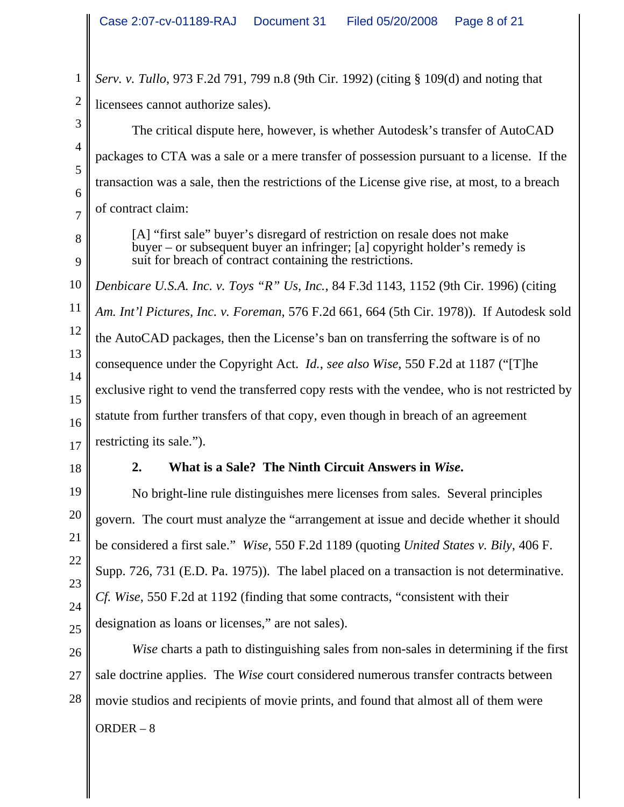1 *Serv. v. Tullo*, 973 F.2d 791, 799 n.8 (9th Cir. 1992) (citing § 109(d) and noting that licensees cannot authorize sales).

The critical dispute here, however, is whether Autodesk's transfer of AutoCAD packages to CTA was a sale or a mere transfer of possession pursuant to a license. If the transaction was a sale, then the restrictions of the License give rise, at most, to a breach of contract claim:

[A] "first sale" buyer's disregard of restriction on resale does not make buyer – or subsequent buyer an infringer; [a] copyright holder's remedy is suit for breach of contract containing the restrictions.

14 15 16 17 *Denbicare U.S.A. Inc. v. Toys "R" Us, Inc.*, 84 F.3d 1143, 1152 (9th Cir. 1996) (citing *Am. Int'l Pictures, Inc. v. Foreman*, 576 F.2d 661, 664 (5th Cir. 1978)). If Autodesk sold the AutoCAD packages, then the License's ban on transferring the software is of no consequence under the Copyright Act. *Id.*, *see also Wise*, 550 F.2d at 1187 ("[T]he exclusive right to vend the transferred copy rests with the vendee, who is not restricted by statute from further transfers of that copy, even though in breach of an agreement restricting its sale.").

18

19

20

21

22

23

24

25

## **2. What is a Sale? The Ninth Circuit Answers in** *Wise***.**

No bright-line rule distinguishes mere licenses from sales. Several principles govern. The court must analyze the "arrangement at issue and decide whether it should be considered a first sale." *Wise*, 550 F.2d 1189 (quoting *United States v. Bily*, 406 F. Supp. 726, 731 (E.D. Pa. 1975)). The label placed on a transaction is not determinative. *Cf. Wise*, 550 F.2d at 1192 (finding that some contracts, "consistent with their designation as loans or licenses," are not sales).

26 27 28 ORDER – 8 *Wise* charts a path to distinguishing sales from non-sales in determining if the first sale doctrine applies. The *Wise* court considered numerous transfer contracts between movie studios and recipients of movie prints, and found that almost all of them were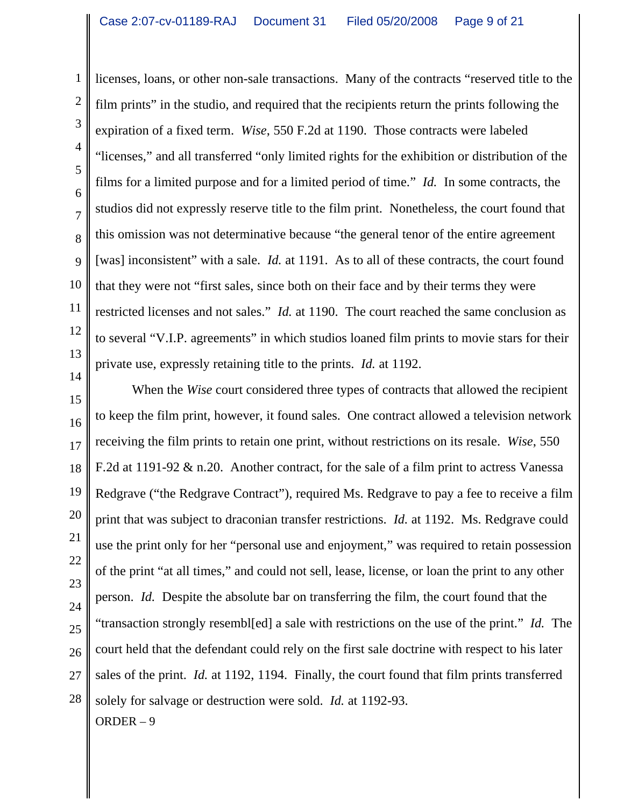1 2 3 4 5 6 7 8 9 10 11 12 13 14 licenses, loans, or other non-sale transactions. Many of the contracts "reserved title to the film prints" in the studio, and required that the recipients return the prints following the expiration of a fixed term. *Wise*, 550 F.2d at 1190. Those contracts were labeled "licenses," and all transferred "only limited rights for the exhibition or distribution of the films for a limited purpose and for a limited period of time." *Id.* In some contracts, the studios did not expressly reserve title to the film print. Nonetheless, the court found that this omission was not determinative because "the general tenor of the entire agreement [was] inconsistent" with a sale. *Id.* at 1191. As to all of these contracts, the court found that they were not "first sales, since both on their face and by their terms they were restricted licenses and not sales." *Id.* at 1190. The court reached the same conclusion as to several "V.I.P. agreements" in which studios loaned film prints to movie stars for their private use, expressly retaining title to the prints. *Id.* at 1192.

15 16 17 18 19 20 21 22 23 24 25 26 27 28 ORDER – 9 When the *Wise* court considered three types of contracts that allowed the recipient to keep the film print, however, it found sales. One contract allowed a television network receiving the film prints to retain one print, without restrictions on its resale. *Wise*, 550 F.2d at 1191-92 & n.20. Another contract, for the sale of a film print to actress Vanessa Redgrave ("the Redgrave Contract"), required Ms. Redgrave to pay a fee to receive a film print that was subject to draconian transfer restrictions. *Id.* at 1192. Ms. Redgrave could use the print only for her "personal use and enjoyment," was required to retain possession of the print "at all times," and could not sell, lease, license, or loan the print to any other person. *Id.* Despite the absolute bar on transferring the film, the court found that the "transaction strongly resembl[ed] a sale with restrictions on the use of the print." *Id.* The court held that the defendant could rely on the first sale doctrine with respect to his later sales of the print. *Id.* at 1192, 1194. Finally, the court found that film prints transferred solely for salvage or destruction were sold. *Id.* at 1192-93.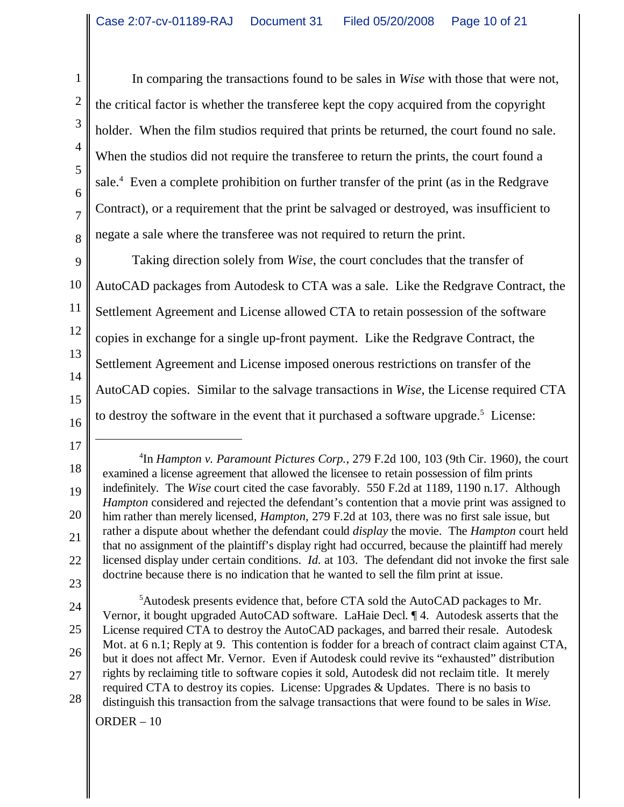In comparing the transactions found to be sales in *Wise* with those that were not, the critical factor is whether the transferee kept the copy acquired from the copyright holder. When the film studios required that prints be returned, the court found no sale. When the studios did not require the transferee to return the prints, the court found a sale.<sup>4</sup> Even a complete prohibition on further transfer of the print (as in the Redgrave Contract), or a requirement that the print be salvaged or destroyed, was insufficient to negate a sale where the transferee was not required to return the print.

9 10 11 12 13 14 15 16 Taking direction solely from *Wise*, the court concludes that the transfer of AutoCAD packages from Autodesk to CTA was a sale. Like the Redgrave Contract, the Settlement Agreement and License allowed CTA to retain possession of the software copies in exchange for a single up-front payment. Like the Redgrave Contract, the Settlement Agreement and License imposed onerous restrictions on transfer of the AutoCAD copies. Similar to the salvage transactions in *Wise*, the License required CTA to destroy the software in the event that it purchased a software upgrade.<sup>5</sup> License:

19

21

1

2

3

4

5

6

7

<sup>17</sup>

<sup>18</sup> 20 22 23 4 In *Hampton v. Paramount Pictures Corp.*, 279 F.2d 100, 103 (9th Cir. 1960), the court examined a license agreement that allowed the licensee to retain possession of film prints indefinitely. The *Wise* court cited the case favorably. 550 F.2d at 1189, 1190 n.17. Although *Hampton* considered and rejected the defendant's contention that a movie print was assigned to him rather than merely licensed, *Hampton*, 279 F.2d at 103, there was no first sale issue, but rather a dispute about whether the defendant could *display* the movie. The *Hampton* court held that no assignment of the plaintiff's display right had occurred, because the plaintiff had merely licensed display under certain conditions. *Id.* at 103. The defendant did not invoke the first sale doctrine because there is no indication that he wanted to sell the film print at issue.

<sup>24</sup> 25 26 27 28 <sup>5</sup>Autodesk presents evidence that, before CTA sold the AutoCAD packages to Mr. Vernor, it bought upgraded AutoCAD software. LaHaie Decl. ¶ 4. Autodesk asserts that the License required CTA to destroy the AutoCAD packages, and barred their resale. Autodesk Mot. at 6 n.1; Reply at 9. This contention is fodder for a breach of contract claim against CTA, but it does not affect Mr. Vernor. Even if Autodesk could revive its "exhausted" distribution rights by reclaiming title to software copies it sold, Autodesk did not reclaim title. It merely required CTA to destroy its copies. License: Upgrades & Updates. There is no basis to distinguish this transaction from the salvage transactions that were found to be sales in *Wise.* ORDER – 10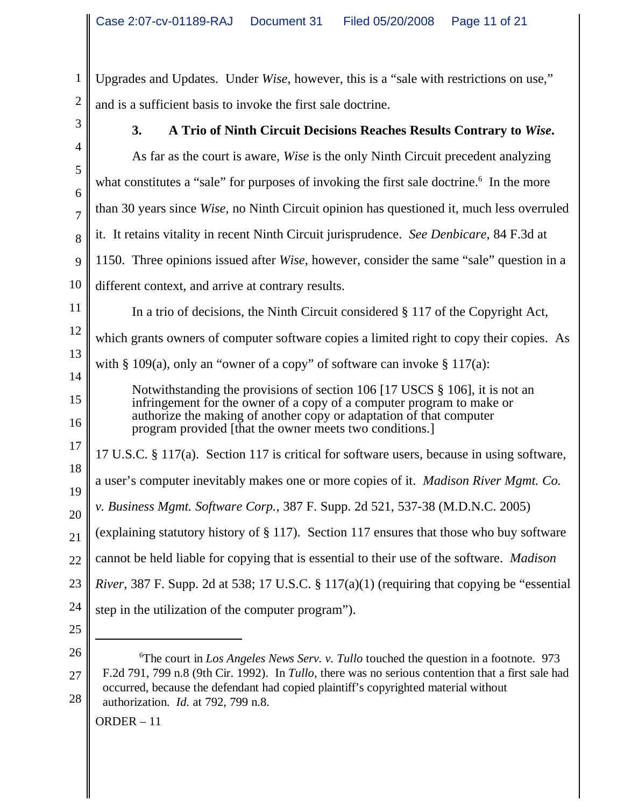Upgrades and Updates. Under *Wise*, however, this is a "sale with restrictions on use," and is a sufficient basis to invoke the first sale doctrine.

3

1

2

## **3. A Trio of Ninth Circuit Decisions Reaches Results Contrary to** *Wise***.**

4 5 6 7 8 9 10 11 12 13 14 15 16 17 18 19 20 21 22 23 24 25 As far as the court is aware, *Wise* is the only Ninth Circuit precedent analyzing what constitutes a "sale" for purposes of invoking the first sale doctrine.<sup>6</sup> In the more than 30 years since *Wise*, no Ninth Circuit opinion has questioned it, much less overruled it. It retains vitality in recent Ninth Circuit jurisprudence. *See Denbicare*, 84 F.3d at 1150. Three opinions issued after *Wise*, however, consider the same "sale" question in a different context, and arrive at contrary results. In a trio of decisions, the Ninth Circuit considered § 117 of the Copyright Act, which grants owners of computer software copies a limited right to copy their copies. As with  $\S 109(a)$ , only an "owner of a copy" of software can invoke  $\S 117(a)$ : Notwithstanding the provisions of section 106 [17 USCS § 106], it is not an infringement for the owner of a copy of a computer program to make or authorize the making of another copy or adaptation of that computer program provided [that the owner meets two conditions.] 17 U.S.C. § 117(a). Section 117 is critical for software users, because in using software, a user's computer inevitably makes one or more copies of it. *Madison River Mgmt. Co. v. Business Mgmt. Software Corp.*, 387 F. Supp. 2d 521, 537-38 (M.D.N.C. 2005) (explaining statutory history of § 117). Section 117 ensures that those who buy software cannot be held liable for copying that is essential to their use of the software. *Madison River*, 387 F. Supp. 2d at 538; 17 U.S.C. § 117(a)(1) (requiring that copying be "essential step in the utilization of the computer program").

26

 $27$ 

<sup>6</sup> The court in *Los Angeles News Serv. v. Tullo* touched the question in a footnote. 973 F.2d 791, 799 n.8 (9th Cir. 1992). In *Tullo*, there was no serious contention that a first sale had occurred, because the defendant had copied plaintiff's copyrighted material without authorization. *Id.* at 792, 799 n.8.

ORDER – 11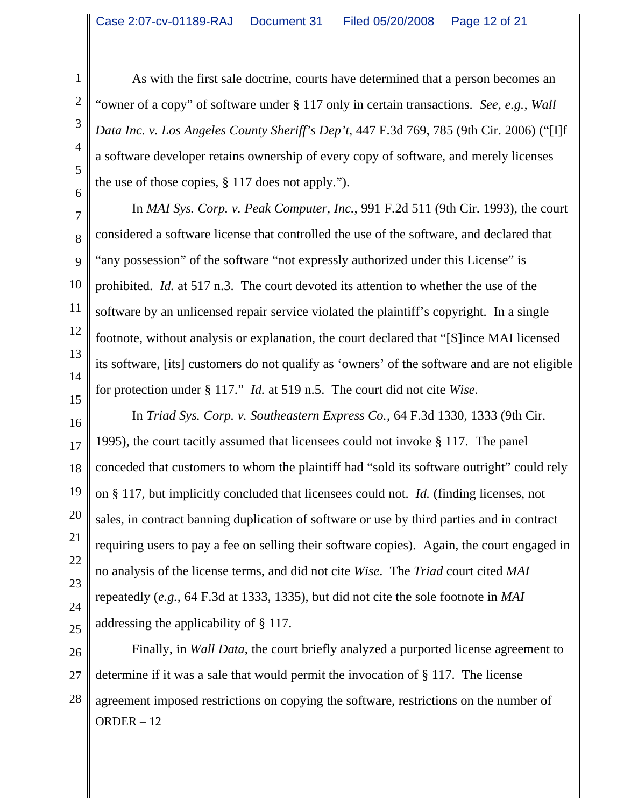As with the first sale doctrine, courts have determined that a person becomes an "owner of a copy" of software under § 117 only in certain transactions. *See*, *e.g.*, *Wall Data Inc. v. Los Angeles County Sheriff's Dep't*, 447 F.3d 769, 785 (9th Cir. 2006) ("[I]f a software developer retains ownership of every copy of software, and merely licenses the use of those copies, § 117 does not apply.").

In *MAI Sys. Corp. v. Peak Computer, Inc.*, 991 F.2d 511 (9th Cir. 1993), the court considered a software license that controlled the use of the software, and declared that "any possession" of the software "not expressly authorized under this License" is prohibited. *Id.* at 517 n.3. The court devoted its attention to whether the use of the software by an unlicensed repair service violated the plaintiff's copyright. In a single footnote, without analysis or explanation, the court declared that "[S]ince MAI licensed its software, [its] customers do not qualify as 'owners' of the software and are not eligible for protection under § 117." *Id.* at 519 n.5. The court did not cite *Wise*.

In *Triad Sys. Corp. v. Southeastern Express Co.*, 64 F.3d 1330, 1333 (9th Cir. 1995), the court tacitly assumed that licensees could not invoke § 117. The panel conceded that customers to whom the plaintiff had "sold its software outright" could rely on § 117, but implicitly concluded that licensees could not. *Id.* (finding licenses, not sales, in contract banning duplication of software or use by third parties and in contract requiring users to pay a fee on selling their software copies). Again, the court engaged in no analysis of the license terms, and did not cite *Wise*. The *Triad* court cited *MAI* repeatedly (*e.g.*, 64 F.3d at 1333, 1335), but did not cite the sole footnote in *MAI* addressing the applicability of § 117.

28 ORDER – 12 Finally, in *Wall Data*, the court briefly analyzed a purported license agreement to determine if it was a sale that would permit the invocation of § 117. The license agreement imposed restrictions on copying the software, restrictions on the number of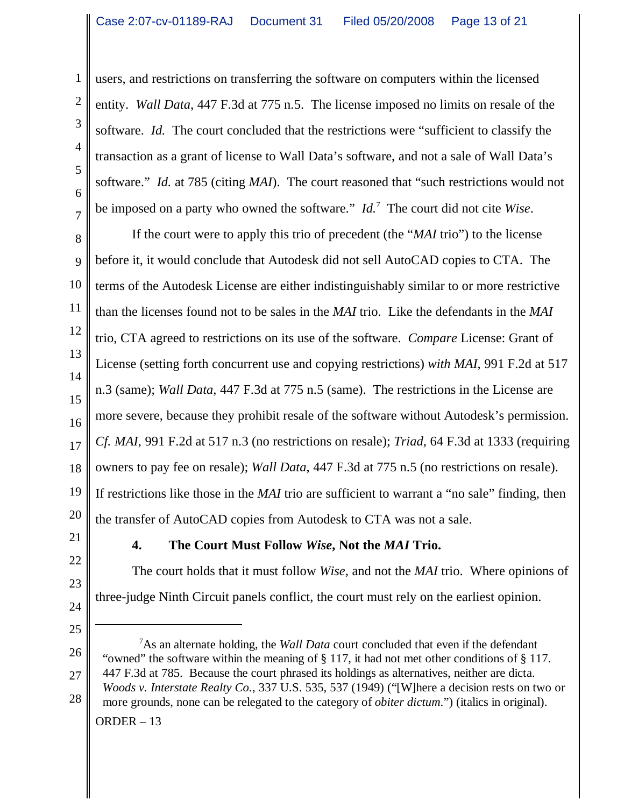users, and restrictions on transferring the software on computers within the licensed entity. *Wall Data*, 447 F.3d at 775 n.5. The license imposed no limits on resale of the software. *Id.* The court concluded that the restrictions were "sufficient to classify the transaction as a grant of license to Wall Data's software, and not a sale of Wall Data's software." *Id.* at 785 (citing *MAI*). The court reasoned that "such restrictions would not be imposed on a party who owned the software." *Id.*<sup>7</sup> The court did not cite *Wise*.

8 9 10 11 12 13 14 If the court were to apply this trio of precedent (the "*MAI* trio") to the license before it, it would conclude that Autodesk did not sell AutoCAD copies to CTA. The terms of the Autodesk License are either indistinguishably similar to or more restrictive than the licenses found not to be sales in the *MAI* trio. Like the defendants in the *MAI* trio, CTA agreed to restrictions on its use of the software. *Compare* License: Grant of License (setting forth concurrent use and copying restrictions) *with MAI*, 991 F.2d at 517 n.3 (same); *Wall Data*, 447 F.3d at 775 n.5 (same). The restrictions in the License are more severe, because they prohibit resale of the software without Autodesk's permission. *Cf. MAI*, 991 F.2d at 517 n.3 (no restrictions on resale); *Triad*, 64 F.3d at 1333 (requiring owners to pay fee on resale); *Wall Data*, 447 F.3d at 775 n.5 (no restrictions on resale). If restrictions like those in the *MAI* trio are sufficient to warrant a "no sale" finding, then the transfer of AutoCAD copies from Autodesk to CTA was not a sale.

## **4. The Court Must Follow** *Wise***, Not the** *MAI* **Trio.**

The court holds that it must follow *Wise*, and not the *MAI* trio. Where opinions of three-judge Ninth Circuit panels conflict, the court must rely on the earliest opinion.

7 As an alternate holding, the *Wall Data* court concluded that even if the defendant "owned" the software within the meaning of § 117, it had not met other conditions of § 117. 447 F.3d at 785. Because the court phrased its holdings as alternatives, neither are dicta. *Woods v. Interstate Realty Co.*, 337 U.S. 535, 537 (1949) ("[W]here a decision rests on two or more grounds, none can be relegated to the category of *obiter dictum*.") (italics in original). ORDER – 13

1

2

3

4

5

6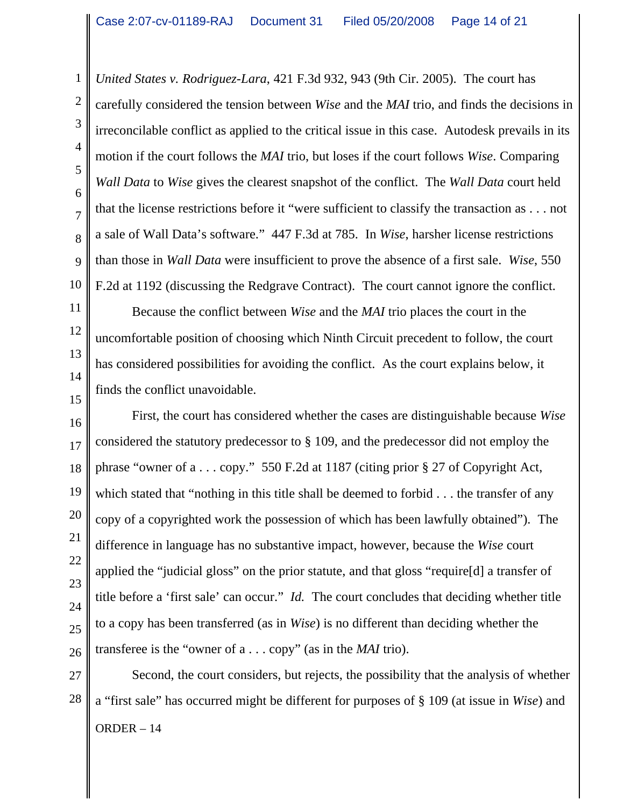1 2 3 4 5 6 7 8 *United States v. Rodriguez-Lara*, 421 F.3d 932, 943 (9th Cir. 2005). The court has carefully considered the tension between *Wise* and the *MAI* trio, and finds the decisions in irreconcilable conflict as applied to the critical issue in this case. Autodesk prevails in its motion if the court follows the *MAI* trio, but loses if the court follows *Wise*. Comparing *Wall Data* to *Wise* gives the clearest snapshot of the conflict. The *Wall Data* court held that the license restrictions before it "were sufficient to classify the transaction as . . . not a sale of Wall Data's software." 447 F.3d at 785. In *Wise*, harsher license restrictions than those in *Wall Data* were insufficient to prove the absence of a first sale. *Wise*, 550 F.2d at 1192 (discussing the Redgrave Contract). The court cannot ignore the conflict.

Because the conflict between *Wise* and the *MAI* trio places the court in the uncomfortable position of choosing which Ninth Circuit precedent to follow, the court has considered possibilities for avoiding the conflict. As the court explains below, it finds the conflict unavoidable.

First, the court has considered whether the cases are distinguishable because *Wise* considered the statutory predecessor to § 109, and the predecessor did not employ the phrase "owner of a . . . copy." 550 F.2d at 1187 (citing prior § 27 of Copyright Act, which stated that "nothing in this title shall be deemed to forbid . . . the transfer of any copy of a copyrighted work the possession of which has been lawfully obtained"). The difference in language has no substantive impact, however, because the *Wise* court applied the "judicial gloss" on the prior statute, and that gloss "require[d] a transfer of title before a 'first sale' can occur." *Id.* The court concludes that deciding whether title to a copy has been transferred (as in *Wise*) is no different than deciding whether the transferee is the "owner of a . . . copy" (as in the *MAI* trio).

28 ORDER – 14 Second, the court considers, but rejects, the possibility that the analysis of whether a "first sale" has occurred might be different for purposes of § 109 (at issue in *Wise*) and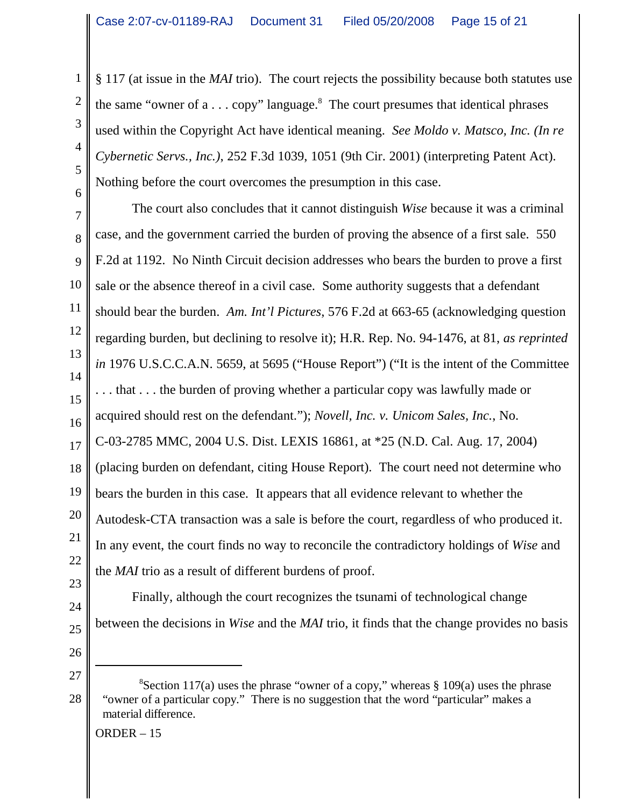§ 117 (at issue in the *MAI* trio). The court rejects the possibility because both statutes use the same "owner of a  $\dots$  copy" language.<sup>8</sup> The court presumes that identical phrases used within the Copyright Act have identical meaning. *See Moldo v. Matsco, Inc. (In re Cybernetic Servs., Inc.)*, 252 F.3d 1039, 1051 (9th Cir. 2001) (interpreting Patent Act). Nothing before the court overcomes the presumption in this case.

7 8 9 10 11 12 13 14 15 16 17 18 19 20 21 22 The court also concludes that it cannot distinguish *Wise* because it was a criminal case, and the government carried the burden of proving the absence of a first sale. 550 F.2d at 1192. No Ninth Circuit decision addresses who bears the burden to prove a first sale or the absence thereof in a civil case. Some authority suggests that a defendant should bear the burden. *Am. Int'l Pictures*, 576 F.2d at 663-65 (acknowledging question regarding burden, but declining to resolve it); H.R. Rep. No. 94-1476, at 81, *as reprinted in* 1976 U.S.C.C.A.N. 5659, at 5695 ("House Report") ("It is the intent of the Committee ... that ... the burden of proving whether a particular copy was lawfully made or acquired should rest on the defendant."); *Novell, Inc. v. Unicom Sales, Inc.*, No. C-03-2785 MMC, 2004 U.S. Dist. LEXIS 16861, at \*25 (N.D. Cal. Aug. 17, 2004) (placing burden on defendant, citing House Report). The court need not determine who bears the burden in this case. It appears that all evidence relevant to whether the Autodesk-CTA transaction was a sale is before the court, regardless of who produced it. In any event, the court finds no way to reconcile the contradictory holdings of *Wise* and the *MAI* trio as a result of different burdens of proof.

23 24 25 Finally, although the court recognizes the tsunami of technological change between the decisions in *Wise* and the *MAI* trio, it finds that the change provides no basis

26

27

1

2

3

4

5

6

<sup>28</sup> <sup>8</sup>Section 117(a) uses the phrase "owner of a copy," whereas  $\S$  109(a) uses the phrase "owner of a particular copy." There is no suggestion that the word "particular" makes a material difference.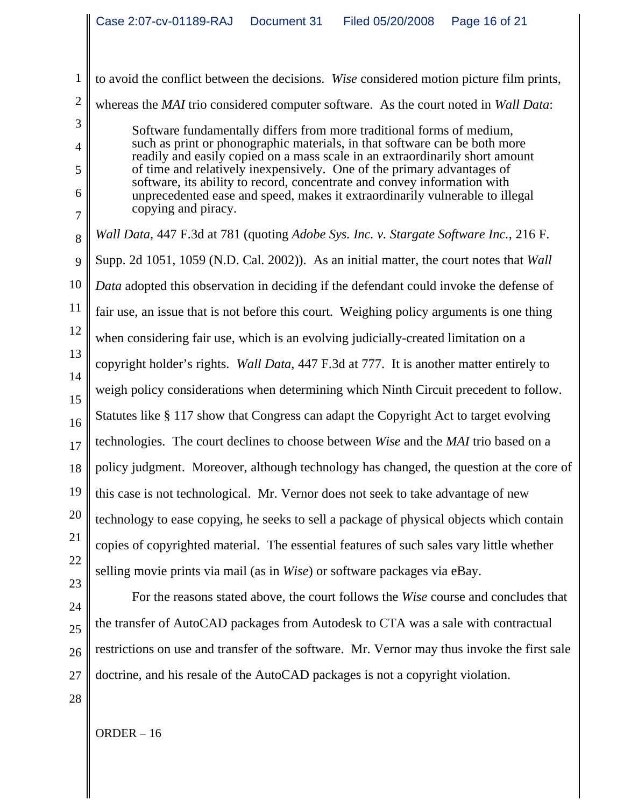1 2 3 4 5 6 7 8 9 10 11 12 13 14 15 16 17 18 19 20 21 22 23 to avoid the conflict between the decisions. *Wise* considered motion picture film prints, whereas the *MAI* trio considered computer software. As the court noted in *Wall Data*: Software fundamentally differs from more traditional forms of medium, such as print or phonographic materials, in that software can be both more readily and easily copied on a mass scale in an extraordinarily short amount of time and relatively inexpensively. One of the primary advantages of software, its ability to record, concentrate and convey information with unprecedented ease and speed, makes it extraordinarily vulnerable to illegal copying and piracy. *Wall Data*, 447 F.3d at 781 (quoting *Adobe Sys. Inc. v. Stargate Software Inc.*, 216 F. Supp. 2d 1051, 1059 (N.D. Cal. 2002)). As an initial matter, the court notes that *Wall Data* adopted this observation in deciding if the defendant could invoke the defense of fair use, an issue that is not before this court. Weighing policy arguments is one thing when considering fair use, which is an evolving judicially-created limitation on a copyright holder's rights. *Wall Data*, 447 F.3d at 777. It is another matter entirely to weigh policy considerations when determining which Ninth Circuit precedent to follow. Statutes like § 117 show that Congress can adapt the Copyright Act to target evolving technologies. The court declines to choose between *Wise* and the *MAI* trio based on a policy judgment. Moreover, although technology has changed, the question at the core of this case is not technological. Mr. Vernor does not seek to take advantage of new technology to ease copying, he seeks to sell a package of physical objects which contain copies of copyrighted material. The essential features of such sales vary little whether selling movie prints via mail (as in *Wise*) or software packages via eBay.

24 25 26 27 For the reasons stated above, the court follows the *Wise* course and concludes that the transfer of AutoCAD packages from Autodesk to CTA was a sale with contractual restrictions on use and transfer of the software. Mr. Vernor may thus invoke the first sale doctrine, and his resale of the AutoCAD packages is not a copyright violation.

28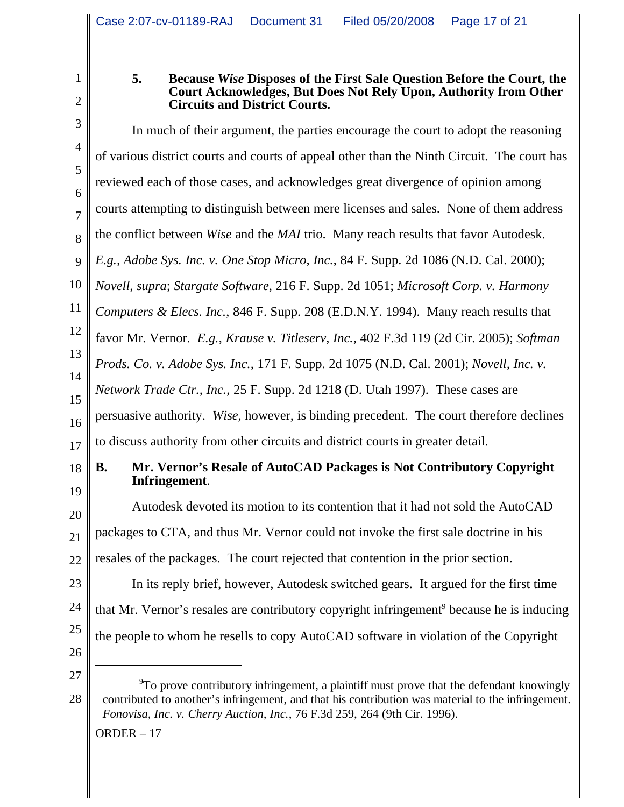# 2 3 4 5

1

#### **5. Because** *Wise* **Disposes of the First Sale Question Before the Court, the Court Acknowledges, But Does Not Rely Upon, Authority from Other Circuits and District Courts.**

6 7 8 9 10 11 12 13 14 15 16 17 In much of their argument, the parties encourage the court to adopt the reasoning of various district courts and courts of appeal other than the Ninth Circuit. The court has reviewed each of those cases, and acknowledges great divergence of opinion among courts attempting to distinguish between mere licenses and sales. None of them address the conflict between *Wise* and the *MAI* trio. Many reach results that favor Autodesk. *E.g.*, *Adobe Sys. Inc. v. One Stop Micro, Inc.*, 84 F. Supp. 2d 1086 (N.D. Cal. 2000); *Novell*, *supra*; *Stargate Software*, 216 F. Supp. 2d 1051; *Microsoft Corp. v. Harmony Computers & Elecs. Inc.*, 846 F. Supp. 208 (E.D.N.Y. 1994). Many reach results that favor Mr. Vernor. *E.g.*, *Krause v. Titleserv, Inc.*, 402 F.3d 119 (2d Cir. 2005); *Softman Prods. Co. v. Adobe Sys. Inc.*, 171 F. Supp. 2d 1075 (N.D. Cal. 2001); *Novell, Inc. v. Network Trade Ctr., Inc.*, 25 F. Supp. 2d 1218 (D. Utah 1997). These cases are persuasive authority. *Wise*, however, is binding precedent. The court therefore declines to discuss authority from other circuits and district courts in greater detail.

## 18

## 19

#### **B. Mr. Vernor's Resale of AutoCAD Packages is Not Contributory Copyright Infringement**.

20 21 22 Autodesk devoted its motion to its contention that it had not sold the AutoCAD packages to CTA, and thus Mr. Vernor could not invoke the first sale doctrine in his resales of the packages. The court rejected that contention in the prior section.

23 24 25 In its reply brief, however, Autodesk switched gears. It argued for the first time that Mr. Vernor's resales are contributory copyright infringement<sup>9</sup> because he is inducing the people to whom he resells to copy AutoCAD software in violation of the Copyright

<sup>28</sup> <sup>9</sup>To prove contributory infringement, a plaintiff must prove that the defendant knowingly contributed to another's infringement, and that his contribution was material to the infringement. *Fonovisa, Inc. v. Cherry Auction, Inc.*, 76 F.3d 259, 264 (9th Cir. 1996). ORDER – 17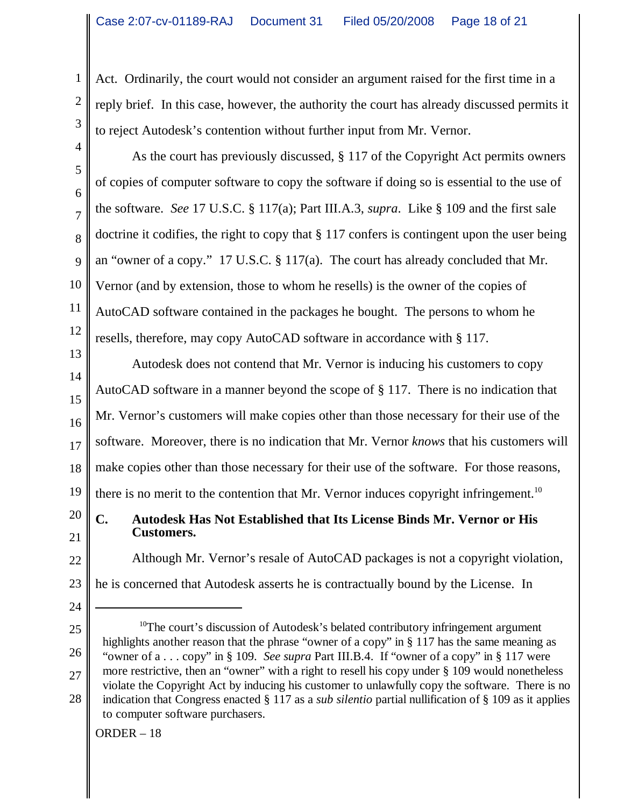Act. Ordinarily, the court would not consider an argument raised for the first time in a reply brief. In this case, however, the authority the court has already discussed permits it to reject Autodesk's contention without further input from Mr. Vernor.

As the court has previously discussed, § 117 of the Copyright Act permits owners of copies of computer software to copy the software if doing so is essential to the use of the software. *See* 17 U.S.C. § 117(a); Part III.A.3, *supra*. Like § 109 and the first sale doctrine it codifies, the right to copy that § 117 confers is contingent upon the user being an "owner of a copy." 17 U.S.C. § 117(a). The court has already concluded that Mr. Vernor (and by extension, those to whom he resells) is the owner of the copies of AutoCAD software contained in the packages he bought. The persons to whom he resells, therefore, may copy AutoCAD software in accordance with § 117.

13 14 15 16 17 18 19 Autodesk does not contend that Mr. Vernor is inducing his customers to copy AutoCAD software in a manner beyond the scope of § 117. There is no indication that Mr. Vernor's customers will make copies other than those necessary for their use of the software. Moreover, there is no indication that Mr. Vernor *knows* that his customers will make copies other than those necessary for their use of the software. For those reasons, there is no merit to the contention that Mr. Vernor induces copyright infringement.<sup>10</sup>

20 21

1

2

3

4

5

6

7

8

9

10

11

12

#### **C. Autodesk Has Not Established that Its License Binds Mr. Vernor or His Customers.**

22 23 Although Mr. Vernor's resale of AutoCAD packages is not a copyright violation, he is concerned that Autodesk asserts he is contractually bound by the License. In

25

26

27 28 <sup>10</sup>The court's discussion of Autodesk's belated contributory infringement argument

<sup>24</sup>

highlights another reason that the phrase "owner of a copy" in § 117 has the same meaning as "owner of a . . . copy" in § 109. *See supra* Part III.B.4. If "owner of a copy" in § 117 were more restrictive, then an "owner" with a right to resell his copy under § 109 would nonetheless violate the Copyright Act by inducing his customer to unlawfully copy the software. There is no indication that Congress enacted § 117 as a *sub silentio* partial nullification of § 109 as it applies to computer software purchasers.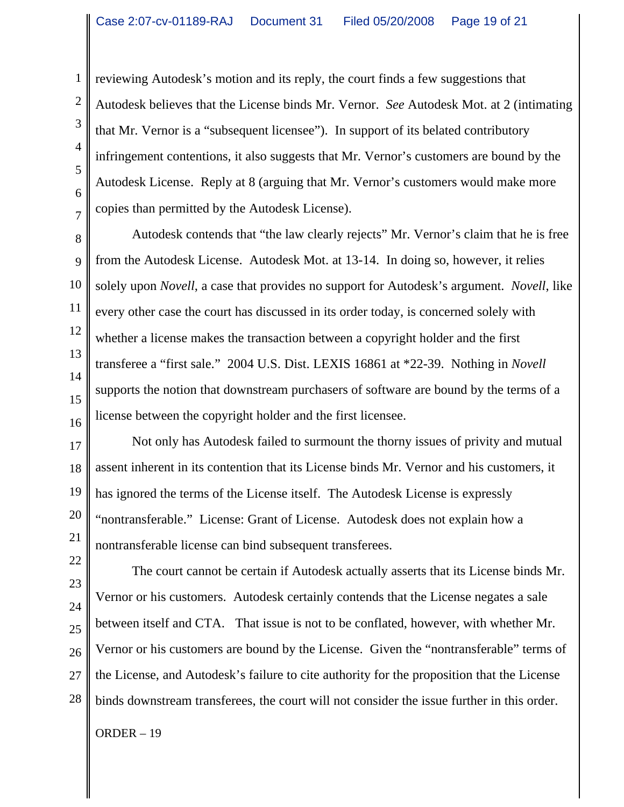reviewing Autodesk's motion and its reply, the court finds a few suggestions that Autodesk believes that the License binds Mr. Vernor. *See* Autodesk Mot. at 2 (intimating that Mr. Vernor is a "subsequent licensee"). In support of its belated contributory infringement contentions, it also suggests that Mr. Vernor's customers are bound by the Autodesk License. Reply at 8 (arguing that Mr. Vernor's customers would make more copies than permitted by the Autodesk License).

8 9 10 11 12 13 14 15 16 Autodesk contends that "the law clearly rejects" Mr. Vernor's claim that he is free from the Autodesk License. Autodesk Mot. at 13-14. In doing so, however, it relies solely upon *Novell*, a case that provides no support for Autodesk's argument. *Novell*, like every other case the court has discussed in its order today, is concerned solely with whether a license makes the transaction between a copyright holder and the first transferee a "first sale." 2004 U.S. Dist. LEXIS 16861 at \*22-39. Nothing in *Novell* supports the notion that downstream purchasers of software are bound by the terms of a license between the copyright holder and the first licensee.

17 18 19 20 Not only has Autodesk failed to surmount the thorny issues of privity and mutual assent inherent in its contention that its License binds Mr. Vernor and his customers, it has ignored the terms of the License itself. The Autodesk License is expressly "nontransferable." License: Grant of License. Autodesk does not explain how a nontransferable license can bind subsequent transferees.

28

1

2

3

4

5

6

7

The court cannot be certain if Autodesk actually asserts that its License binds Mr. Vernor or his customers. Autodesk certainly contends that the License negates a sale between itself and CTA. That issue is not to be conflated, however, with whether Mr. Vernor or his customers are bound by the License. Given the "nontransferable" terms of the License, and Autodesk's failure to cite authority for the proposition that the License binds downstream transferees, the court will not consider the issue further in this order.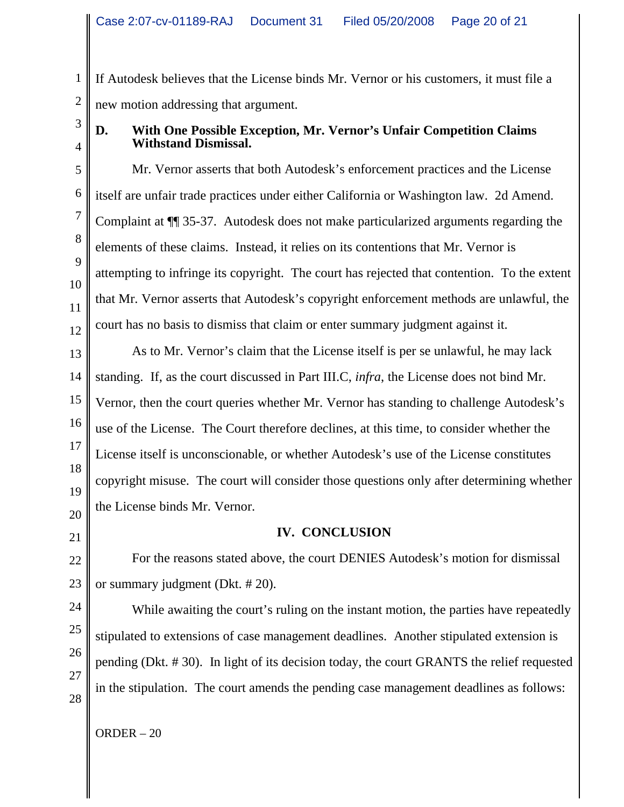If Autodesk believes that the License binds Mr. Vernor or his customers, it must file a new motion addressing that argument.

## **D. With One Possible Exception, Mr. Vernor's Unfair Competition Claims Withstand Dismissal.**

Mr. Vernor asserts that both Autodesk's enforcement practices and the License itself are unfair trade practices under either California or Washington law. 2d Amend. Complaint at ¶¶ 35-37. Autodesk does not make particularized arguments regarding the elements of these claims. Instead, it relies on its contentions that Mr. Vernor is attempting to infringe its copyright. The court has rejected that contention. To the extent that Mr. Vernor asserts that Autodesk's copyright enforcement methods are unlawful, the court has no basis to dismiss that claim or enter summary judgment against it.

As to Mr. Vernor's claim that the License itself is per se unlawful, he may lack standing. If, as the court discussed in Part III.C, *infra*, the License does not bind Mr. Vernor, then the court queries whether Mr. Vernor has standing to challenge Autodesk's use of the License. The Court therefore declines, at this time, to consider whether the License itself is unconscionable, or whether Autodesk's use of the License constitutes copyright misuse. The court will consider those questions only after determining whether the License binds Mr. Vernor.

21

## **IV. CONCLUSION**

 For the reasons stated above, the court DENIES Autodesk's motion for dismissal or summary judgment (Dkt. # 20).

While awaiting the court's ruling on the instant motion, the parties have repeatedly stipulated to extensions of case management deadlines. Another stipulated extension is pending (Dkt. # 30). In light of its decision today, the court GRANTS the relief requested in the stipulation. The court amends the pending case management deadlines as follows:

1

2

3

4

5

6

7

8

9

10

11

12